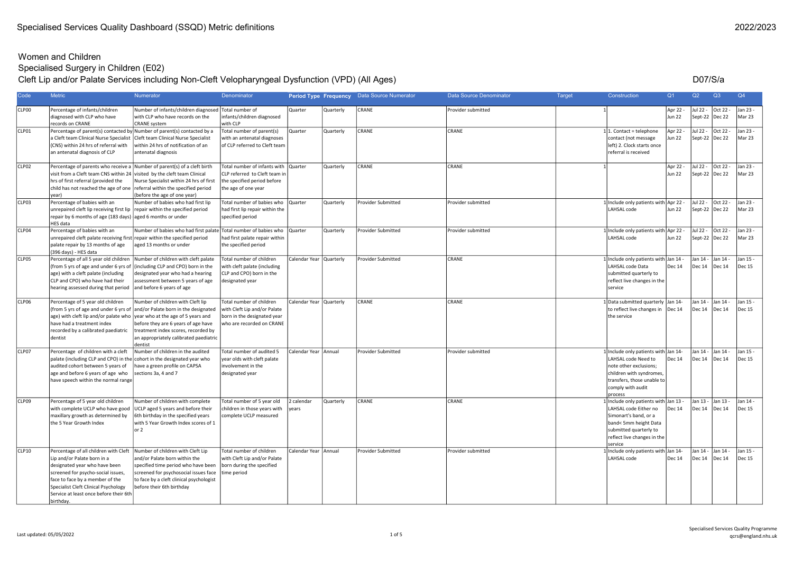# Specialised Surgery in Children (E02)

#### Cleft Lip and/or Palate Services including Non-Cleft Velopharyngeal Dysfunction (VPD) (All Ages)

D07/S/a

| Code  | <b>Metric</b>                                                                                                                                                                                                                                                                     | Numerator                                                                                                                                                                                                                                          | Denominator                                                                                                          |                           |           | Period Type Frequency Data Source Numerator | Data Source Denominator | <b>Target</b> | Construction                                                                                                                                                                       | Q <sub>1</sub>            | Q2                      | Q3                            | Q4                        |
|-------|-----------------------------------------------------------------------------------------------------------------------------------------------------------------------------------------------------------------------------------------------------------------------------------|----------------------------------------------------------------------------------------------------------------------------------------------------------------------------------------------------------------------------------------------------|----------------------------------------------------------------------------------------------------------------------|---------------------------|-----------|---------------------------------------------|-------------------------|---------------|------------------------------------------------------------------------------------------------------------------------------------------------------------------------------------|---------------------------|-------------------------|-------------------------------|---------------------------|
| CLP00 | Percentage of infants/children<br>diagnosed with CLP who have<br>records on CRANE                                                                                                                                                                                                 | Number of infants/children diagnosed<br>with CLP who have records on the<br><b>CRANE</b> system                                                                                                                                                    | Total number of<br>infants/children diagnosed<br>with CLP                                                            | Quarter                   | Quarterly | CRANE                                       | Provider submitted      |               |                                                                                                                                                                                    | Apr 22 -<br><b>Jun 22</b> | Jul 22 -                | Oct 22 -<br>Sept-22   Dec 22  | Jan 23 -<br>Mar 23        |
| CLP01 | a Cleft team Clinical Nurse Specialist<br>(CNS) within 24 hrs of referral with<br>an antenatal diagnosis of CLP                                                                                                                                                                   | Percentage of parent(s) contacted by Number of parent(s) contacted by a<br>Cleft team Clinical Nurse Specialist<br>within 24 hrs of notification of an<br>antenatal diagnosis                                                                      | Total number of parent(s)<br>with an antenatal diagnoses<br>of CLP referred to Cleft team                            | Quarter                   | Quarterly | CRANE                                       | CRANE                   |               | $1 1$ . Contact = telephone<br>contact (not message<br>left) 2. Clock starts once<br>referral is received                                                                          | Apr 22 -<br>Jun 22        | Jul 22 -                | Oct 22 -<br>Sept-22  Dec 22   | Jan 23 -<br>Mar 23        |
| CLP02 | Percentage of parents who receive a Number of parent(s) of a cleft birth<br>visit from a Cleft team CNS within 24 visited by the cleft team Clinical<br>hrs of first referral (provided the<br>child has not reached the age of one referral within the specified period<br>year) | Nurse Specialist within 24 hrs of first<br>(before the age of one year)                                                                                                                                                                            | Total number of infants with<br>CLP referred to Cleft team in<br>the specified period before<br>the age of one year  | <b>Quarter</b>            | Quarterly | CRANE                                       | CRANE                   |               |                                                                                                                                                                                    | Apr 22 -<br><b>Jun 22</b> | Jul 22 -                | Oct 22 -<br>Sept-22  Dec 22   | Jan 23 -<br>Mar 23        |
| CLP03 | Percentage of babies with an<br>unrepaired cleft lip receiving first lip $ $ repair within the specified period<br>repair by 6 months of age (183 days) aged 6 months or under<br>HES data                                                                                        | Number of babies who had first lip                                                                                                                                                                                                                 | Total number of babies who<br>had first lip repair within the<br>specified period                                    | Quarter                   | Quarterly | <b>Provider Submitted</b>                   | Provider submitted      |               | Include only patients with<br>LAHSAL code                                                                                                                                          | Apr 22<br>Jun 22          | Jul 22 -                | Oct 22 -<br>Sept-22 Dec 22    | Jan 23 -<br>Mar 23        |
| CLP04 | Percentage of babies with an<br>unrepaired cleft palate receiving first repair within the specified period<br>palate repair by 13 months of age<br>(396 days) - HES data                                                                                                          | Number of babies who had first palate Total number of babies who<br>aged 13 months or under                                                                                                                                                        | had first palate repair within<br>the specified period                                                               | Quarter                   | Quarterly | <b>Provider Submitted</b>                   | Provider submitted      |               | Include only patients with Apr 22 -<br>LAHSAL code                                                                                                                                 | <b>Jun 22</b>             | Jul 22 -                | Oct 22 -<br>Sept-22 Dec 22    | Jan 23 -<br>Mar 23        |
| CLP05 | Percentage of all 5 year old children<br>(from 5 yrs of age and under 6 yrs of<br>age) with a cleft palate (including<br>CLP and CPO) who have had their<br>hearing assessed during that period                                                                                   | Number of children with cleft palate<br>(including CLP and CPO) born in the<br>designated year who had a hearing<br>assessment between 5 years of age<br>and before 6 years of age                                                                 | Total number of children<br>with cleft palate (including<br>CLP and CPO) born in the<br>designated year              | Calendar Year Quarterly   |           | Provider Submitted                          | CRANE                   |               | Include only patients with Jan 14 -<br>LAHSAL code Data<br>submitted quarterly to<br>reflect live changes in the<br>service                                                        | Dec 14                    | Jan 14 -                | Jan 14 -<br>Dec $14$ Dec $14$ | Jan 15 -<br><b>Dec 15</b> |
| CLP06 | Percentage of 5 year old children<br>age) with cleft lip and/or palate who  year who at the age of 5 years and<br>have had a treatment index<br>recorded by a calibrated paediatric<br>dentist                                                                                    | Number of children with Cleft lip<br>(from 5 yrs of age and under 6 yrs of and/or Palate born in the designated<br>before they are 6 years of age have<br>treatment index scores, recorded by<br>an appropriately calibrated paediatric<br>dentist | Total number of children<br>with Cleft Lip and/or Palate<br>born in the designated year<br>who are recorded on CRANE | Calendar Year   Quarterly |           | CRANE                                       | CRANE                   |               | Data submitted quarterly<br>to reflect live changes in<br>the service                                                                                                              | Jan 14-<br>Dec 14         | Jan 14 -                | Jan 14 -<br>Dec 14  Dec 14    | Jan 15 -<br><b>Dec 15</b> |
| CLP07 | Percentage of children with a cleft<br>palate (including CLP and CPO) in the cohort in the designated year who<br>audited cohort between 5 years of<br>age and before 6 years of age who<br>have speech within the normal range                                                   | Number of children in the audited<br>nave a green profile on CAPSA<br>sections 3a, 4 and 7                                                                                                                                                         | Total number of audited 5<br>year olds with cleft palate<br>involvement in the<br>designated year                    | Calendar Year Annual      |           | <b>Provider Submitted</b>                   | Provider submitted      |               | Include only patients with<br>LAHSAL code Need to<br>note other exclusions;<br>children with syndromes,<br>transfers, those unable to<br>comply with audit<br>process              | Jan 14-<br><b>Dec 14</b>  | Jan 14 -                | Jan 14 -<br>Dec 14  Dec 14    | Jan 15 -<br><b>Dec 15</b> |
| CLP09 | Percentage of 5 year old children<br>with complete UCLP who have good<br>maxillary growth as determined by<br>the 5 Year Growth Index                                                                                                                                             | Number of children with complete<br>UCLP aged 5 years and before their<br>6th birthday in the specified years<br>with 5 Year Growth Index scores of 1<br>or 2                                                                                      | Total number of 5 year old<br>children in those years with<br>complete UCLP measured                                 | 2 calendar<br>years       | Quarterly | CRANE                                       | CRANE                   |               | Include only patients with Jan 13 -<br>LAHSAL code Either no<br>Simonart's band, or a<br>band< 5mm height Data<br>submitted quarterly to<br>reflect live changes in the<br>service | <b>Dec 14</b>             | Jan 13<br><b>Dec 14</b> | Jan 13 -<br>Dec 14            | Jan 14 -<br><b>Dec 15</b> |
| CLP10 | Percentage of all children with Cleft<br>Lip and/or Palate born in a<br>designated year who have been<br>screened for psycho-social issues,<br>face to face by a member of the<br>Specialist Cleft Clinical Psychology<br>Service at least once before their 6th<br>birthday.     | Number of children with Cleft Lip<br>and/or Palate born within the<br>specified time period who have been<br>screened for psychosocial issues face<br>to face by a cleft clinical psychologist<br>before their 6th birthday                        | Total number of children<br>with Cleft Lip and/or Palate<br>born during the specified<br>time period                 | Calendar Year   Annual    |           | <b>Provider Submitted</b>                   | Provider submitted      |               | Include only patients with Jan 14-<br>LAHSAL code                                                                                                                                  | Dec 14                    | Jan 14 -                | Jan 14 -<br>Dec 14   Dec 14   | Jan 15 -<br><b>Dec 15</b> |